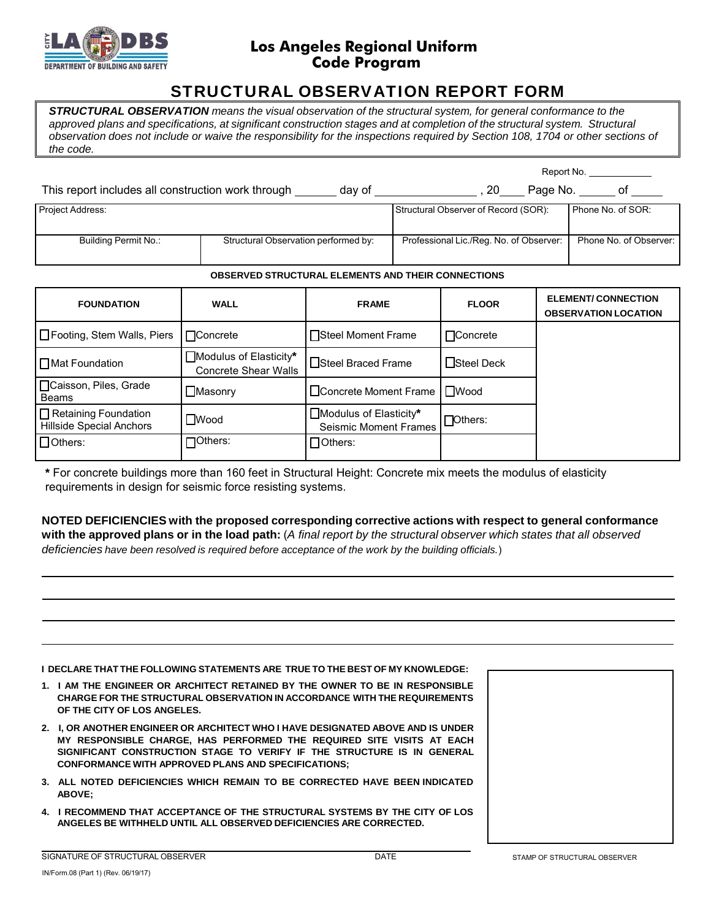

### **Los Angeles Regional Uniform Code Program**

# STRUCTURAL OBSERVATION REPORT FORM

*STRUCTURAL OBSERVATION means the visual observation of the structural system, for general conformance to the approved plans and specifications, at significant construction stages and at completion of the structural system. Structural observation does not include or waive the responsibility for the inspections required by Section 108, 1704 or other sections of the code.*

|                                                              |                                      | Report No.                              |                        |
|--------------------------------------------------------------|--------------------------------------|-----------------------------------------|------------------------|
| This report includes all construction work through<br>day of |                                      | -20                                     | Page No.               |
| <b>Project Address:</b>                                      |                                      | Structural Observer of Record (SOR):    | Phone No. of SOR:      |
| Building Permit No.:                                         | Structural Observation performed by: | Professional Lic./Reg. No. of Observer: | Phone No. of Observer: |

#### **OBSERVED STRUCTURAL ELEMENTS AND THEIR CONNECTIONS**

| <b>FOUNDATION</b>                                              | <b>WALL</b>                                                  | <b>FRAME</b>                                           | <b>FLOOR</b>    | <b>ELEMENT/CONNECTION</b><br><b>OBSERVATION LOCATION</b> |
|----------------------------------------------------------------|--------------------------------------------------------------|--------------------------------------------------------|-----------------|----------------------------------------------------------|
| □ Footing, Stem Walls, Piers                                   | $\Box$ Concrete                                              | □Steel Moment Frame                                    | $\Box$ Concrete |                                                          |
| $\Box$ Mat Foundation                                          | $\Box$ Modulus of Elasticity*<br><b>Concrete Shear Walls</b> | ■ Steel Braced Frame                                   | Steel Deck      |                                                          |
| □ Caisson, Piles, Grade<br>Beams                               | $\Box$ Masonry                                               | □ Concrete Moment Frame   □ Wood                       |                 |                                                          |
| $\Box$ Retaining Foundation<br><b>Hillside Special Anchors</b> | $\Box$ Wood                                                  | Modulus of Elasticity*<br><b>Seismic Moment Frames</b> | $\Box$ Others:  |                                                          |
| $\Box$ Others:                                                 | $\Box$ Others:                                               | $\Box$ Others:                                         |                 |                                                          |

**\*** For concrete buildings more than 160 feet in Structural Height: Concrete mix meets the modulus of elasticity requirements in design for seismic force resisting systems.

**NOTED DEFICIENCIES with the proposed corresponding corrective actions with respect to general conformance with the approved plans or in the load path:** (*A final report by the structural observer which states that all observed deficiencies have been resolved is required before acceptance of the work by the building officials.*)

**I DECLARE THAT THE FOLLOWING STATEMENTS ARE TRUE TO THE BEST OF MY KNOWLEDGE:**

- **1. I AM THE ENGINEER OR ARCHITECT RETAINED BY THE OWNER TO BE IN RESPONSIBLE CHARGE FOR THE STRUCTURAL OBSERVATION IN ACCORDANCE WITH THE REQUIREMENTS OF THE CITY OF LOS ANGELES.**
- **2. I, OR ANOTHER ENGINEER OR ARCHITECT WHO I HAVE DESIGNATED ABOVE AND IS UNDER MY RESPONSIBLE CHARGE, HAS PERFORMED THE REQUIRED SITE VISITS AT EACH SIGNIFICANT CONSTRUCTION STAGE TO VERIFY IF THE STRUCTURE IS IN GENERAL CONFORMANCE WITH APPROVED PLANS AND SPECIFICATIONS;**
- **3. ALL NOTED DEFICIENCIES WHICH REMAIN TO BE CORRECTED HAVE BEEN INDICATED ABOVE;**
- **4. I RECOMMEND THAT ACCEPTANCE OF THE STRUCTURAL SYSTEMS BY THE CITY OF LOS ANGELES BE WITHHELD UNTIL ALL OBSERVED DEFICIENCIES ARE CORRECTED.**